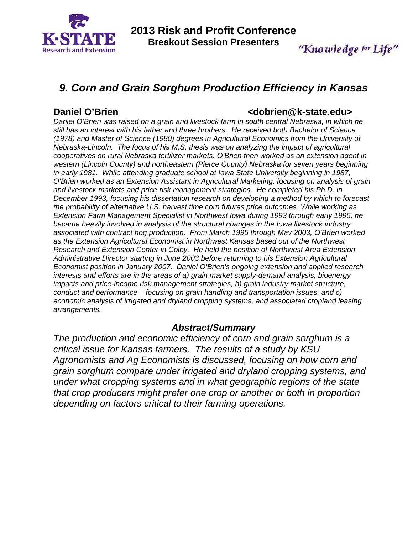

# *9. Corn and Grain Sorghum Production Efficiency in Kansas*

### **Daniel O'Brien Communicate Communicate Communicate Communicate Communicate Communicate Communicate Communicate Communicate Communicate Communicate Communicate Communicate Communicate Communicate Communicate Communicate Co**

*Daniel O'Brien was raised on a grain and livestock farm in south central Nebraska, in which he still has an interest with his father and three brothers. He received both Bachelor of Science (1978) and Master of Science (1980) degrees in Agricultural Economics from the University of Nebraska-Lincoln. The focus of his M.S. thesis was on analyzing the impact of agricultural cooperatives on rural Nebraska fertilizer markets. O'Brien then worked as an extension agent in western (Lincoln County) and northeastern (Pierce County) Nebraska for seven years beginning in early 1981. While attending graduate school at Iowa State University beginning in 1987, O'Brien worked as an Extension Assistant in Agricultural Marketing, focusing on analysis of grain and livestock markets and price risk management strategies. He completed his Ph.D. in December 1993, focusing his dissertation research on developing a method by which to forecast the probability of alternative U.S. harvest time corn futures price outcomes. While working as Extension Farm Management Specialist in Northwest Iowa during 1993 through early 1995, he became heavily involved in analysis of the structural changes in the Iowa livestock industry associated with contract hog production. From March 1995 through May 2003, O'Brien worked as the Extension Agricultural Economist in Northwest Kansas based out of the Northwest Research and Extension Center in Colby. He held the position of Northwest Area Extension Administrative Director starting in June 2003 before returning to his Extension Agricultural Economist position in January 2007. Daniel O'Brien's ongoing extension and applied research interests and efforts are in the areas of a) grain market supply-demand analysis, bioenergy impacts and price-income risk management strategies, b) grain industry market structure, conduct and performance – focusing on grain handling and transportation issues, and c) economic analysis of irrigated and dryland cropping systems, and associated cropland leasing arrangements.* 

### *Abstract/Summary*

*The production and economic efficiency of corn and grain sorghum is a critical issue for Kansas farmers. The results of a study by KSU Agronomists and Ag Economists is discussed, focusing on how corn and grain sorghum compare under irrigated and dryland cropping systems, and under what cropping systems and in what geographic regions of the state that crop producers might prefer one crop or another or both in proportion depending on factors critical to their farming operations.*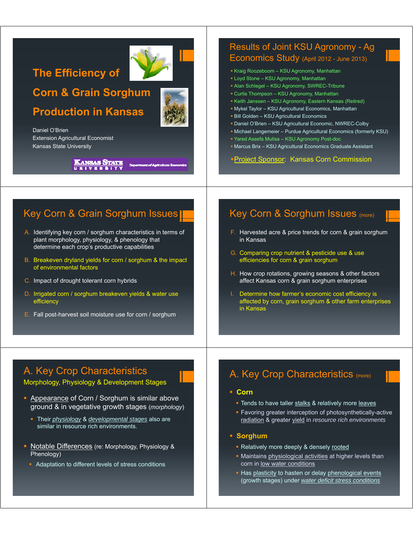# **The Efficiency of**

**Corn & Grain Sorghum** 

# **Production in Kansas**

Daniel O'Brien Extension Agricultural Economist Kansas State University

> Kansas State UKIVERSIT

# Results of Joint KSU Agronomy - Ag

### Economics Study (April 2012 - June 2013)

- Kraig Roozeboom KSU Agronomy, Manhattan
- Loyd Stone KSU Agronomy, Manhattan
- Alan Schlegel KSU Agronomy, SWREC-Tribune
- Curtis Thompson KSU Agronomy, Manhattan
- Keith Janssen KSU Agronomy, Eastern Kansas (Retired)
- Mykel Taylor KSU Agricultural Economics, Manhattan
- $-$  Bill Golden KSU Agricultural Economics
- Daniel O'Brien KSU Agricultural Economic, NWREC-Colby
- Michael Langemeier Purdue Agricultural Economics (formerly KSU)
- Yared Assefa Mulisa KSU Agronomy Post-doc
- Marcus Brix KSU Agricultural Economics Graduate Assistant

#### Project Sponsor: Kansas Corn Commission

## Key Corn & Grain Sorghum Issues

- A. Identifying key corn / sorghum characteristics in terms of plant morphology, physiology, & phenology that determine each crop's productive capabilities
- B. Breakeven dryland yields for corn / sorghum & the impact of environmental factors
- C. Impact of drought tolerant corn hybrids
- D. Irrigated corn / sorghum breakeven yields & water use efficiency
- E. Fall post-harvest soil moisture use for corn / sorghum

### Key Corn & Sorghum Issues (more)

- F. Harvested acre & price trends for corn & grain sorghum in Kansas
- G. Comparing crop nutrient & pesticide use & use efficiencies for corn & grain sorghum
- H. How crop rotations, growing seasons & other factors affect Kansas corn & grain sorghum enterprises
- I. Determine how farmer's economic cost efficiency is affected by corn, grain sorghum & other farm enterprises in Kansas

# A. Key Crop Characteristics

Morphology, Physiology & Development Stages

- Appearance of Corn / Sorghum is similar above ground & in vegetative growth stages (*morphology*)
	- Their *physiology* & *developmental stages* also are similar in resource rich environments.
- Notable Differences (re: Morphology, Physiology & Phenology)
- Adaptation to different levels of stress conditions

### A. Key Crop Characteristics (more)

#### **Corn**

- **Tends to have taller stalks & relatively more leaves**
- **Favoring greater interception of photosynthetically-active** radiation & greater yield in *resource rich environments*
- **Sorghum**
	- **Relatively more deeply & densely rooted**
	- Maintains physiological activities at higher levels than corn in low water conditions
	- Has plasticity to hasten or delay phenological events (growth stages) under *water deficit stress conditions*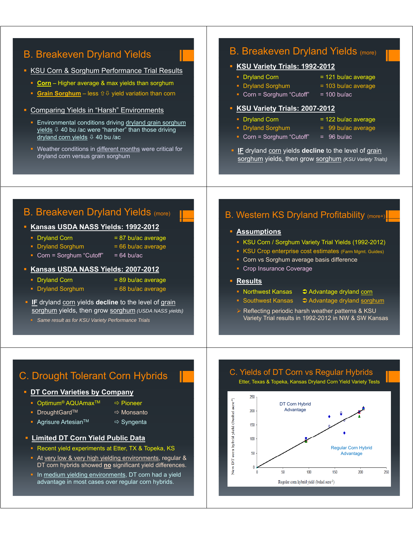### B. Breakeven Dryland Yields

#### **KSU Corn & Sorghum Performance Trial Results**

- **Corn** Higher average & max yields than sorghum
- **Grain Sorghum** less  $\hat{v} \theta$  yield variation than corn
- Comparing Yields in "Harsh" Environments
- **Environmental conditions driving dryland grain sorghum** yields  $\sqrt{0}$  40 bu /ac were "harsher" than those driving dryland corn yields  $\sqrt[1]{2}$  40 bu /ac
- Weather conditions in different months were critical for dryland corn versus grain sorghum

### B. Breakeven Dryland Yields (more)

#### **KSU Variety Trials: 1992-2012**

- $\blacksquare$  Dryland Corn  $\blacksquare$  121 bu/ac average
- $\blacksquare$  Dryland Sorghum  $\blacksquare$  = 103 bu/ac average
- Corn = Sorghum "Cutoff" =  $100 \text{ bu/ac}$

#### **KSU Variety Trials: 2007-2012**

- 
- 
- $\blacksquare$  Dryland Corn  $\blacksquare$  122 bu/ac average
- Dryland Sorghum = 99 bu/ac average
- Corn = Sorghum "Cutoff" =  $96$  bu/ac
- **IF** dryland corn yields **decline** to the level of grain sorghum yields, then grow sorghum *(KSU Variety Trials)*

### B. Breakeven Dryland Yields (more)

#### **Kansas USDA NASS Yields: 1992-2012**

- 
- Dryland Corn  $= 87$  bu/ac average
- $\blacksquare$  Dryland Sorghum  $\blacksquare$  66 bu/ac average
	-
- Corn = Sorghum "Cutoff" =  $64$  bu/ac

#### **Kansas USDA NASS Yields: 2007-2012**

- $\blacksquare$  Dryland Corn  $\blacksquare$  89 bu/ac average
- $\blacksquare$  Dryland Sorghum  $\blacksquare$  68 bu/ac average
- **IF** dryland corn yields **decline** to the level of grain sorghum yields, then grow sorghum *(USDA NASS yields)*
	- *Same result as for KSU Variety Performance Trials*

### B. Western KS Dryland Profitability (more+)

#### **Assumptions**

- KSU Corn / Sorghum Variety Trial Yields (1992-2012)
- **KSU Crop enterprise cost estimates (Farm Mgmt. Guides)**
- Corn vs Sorghum average basis difference
- Crop Insurance Coverage

#### **Results**

- 
- Northwest Kansas  $\Box$  Advantage dryland corn
- Southwest Kansas  $\bigcirc$  Advantage dryland sorghum
- $\triangleright$  Reflecting periodic harsh weather patterns & KSU Variety Trial results in 1992-2012 in NW & SW Kansas

# C. Drought Tolerant Corn Hybrids

#### **DT Corn Varieties by Company**

- Optimum<sup>®</sup> AQUAmax<sup>TM</sup>  $\Rightarrow$  Pioneer
- DroughtGardTM Ö Monsanto
- 
- Agrisure Artesian<sup>TM</sup> <sup>→</sup> Syngenta
- **Limited DT Corn Yield Public Data** 
	- **Recent yield experiments at Etter, TX & Topeka, KS**
	- At very low & very high yielding environments, regular & DT corn hybrids showed **no** significant yield differences.
	- In medium yielding environments, DT corn had a yield advantage in most cases over regular corn hybrids.

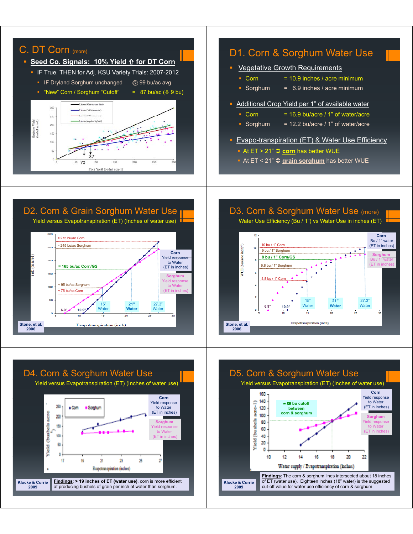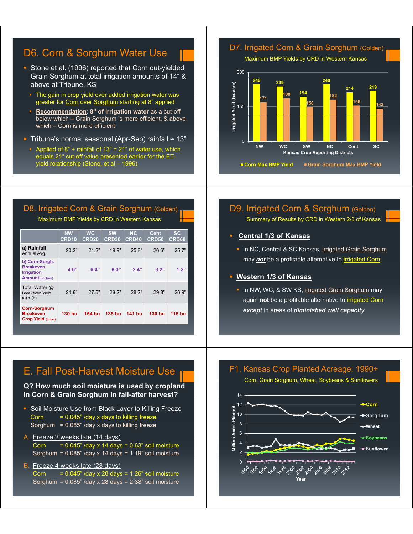### D6. Corn & Sorghum Water Use

- Stone et al. (1996) reported that Corn out-yielded Grain Sorghum at total irrigation amounts of 14" & above at Tribune, KS
	- The gain in crop yield over added irrigation water was greater for Corn over Sorghum starting at 8" applied
	- **Recommendation**: **8" of irrigation water** as a cut-off below which – Grain Sorghum is more efficient, & above which – Corn is more efficient
- Tribune's normal seasonal (Apr-Sep) rainfall ≈ 13"
	- Applied of  $8$ " + rainfall of  $13$ " = 21" of water use, which equals 21" cut-off value presented earlier for the ETyield relationship (Stone, et al – 1996)

D7. Irrigated Corn & Grain Sorghum (Golden) Maximum BMP Yields by CRD in Western Kansas 300 **<sup>249</sup> <sup>239</sup> 194 249 214 219 188 u/acre) 171 188 197 182** 150 **1 143** 150 1<mark>1 150 1150 1151 1151 1152 1153</mark> 115 **d Yield (b Irrigate** 0 **NW WC SW NC Cent SC Kansas Crop Reporting Districts Corn Max BMP Yield** Grain Sorghum Max BMP Yield

### D8. Irrigated Corn & Grain Sorghum (Golden) Maximum BMP Yields by CRD in Western Kansas

|                                                                                   | <b>NW</b><br>CRD <sub>10</sub> | <b>WC</b><br><b>CRD20</b> | <b>SW</b><br>CRD30 | <b>NC</b><br><b>CRD40</b> | Cent<br><b>CRD50</b> | <b>SC</b><br>CRD60 |
|-----------------------------------------------------------------------------------|--------------------------------|---------------------------|--------------------|---------------------------|----------------------|--------------------|
| a) Rainfall<br>Annual Avg.                                                        | 20.2"                          | 21.2"                     | 19.9"              | 25.8"                     | 26.6"                | 25.7"              |
| b) Corn-Sorgh.<br><b>Breakeven</b><br><b>Irrigation</b><br><b>Amount</b> (inches) | 4.6"                           | 6.4"                      | 8.3"               | 2.4"                      | 3.2"                 | 1.2"               |
| Total Water @<br>Breakeven Yield<br>$(a) + (b)$                                   | 24.8"                          | 276"                      | 28.2"              | 28.2"                     | 29.8"                | 26.9"              |
| <b>Corn-Sorghum</b><br><b>Breakeven</b><br><b>Crop Yield (bu/ac)</b>              | 130 bu                         | 154 bu                    | 135 bu             | 141 bu                    | 130 bu               | 115 bu             |

### D9. Irrigated Corn & Sorghum (Golden) Summary of Results by CRD in Western 2/3 of Kansas

#### **Central 1/3 of Kansas Central 1/3 of**

In NC, Central & SC Kansas, irrigated Grain Sorghum may *not* be a profitable alternative to *irrigated Corn*.

#### **Western 1/3 of Kansas 1/3 of**

In NW, WC, & SW KS, irrigated Grain Sorghum may again not be a profitable alternative to **irrigated Corn** *except* in areas of *diminished well capacity*

### E. Fall Post-Harvest Moisture Use

**Q? How much soil moisture is used by cropland in Corn & Grain Sorghum in fall-after harvest?**

- Soil Moisture Use from Black Layer to Killing Freeze Corn  $= 0.045$ " /day x days to killing freeze Sorghum =  $0.085$ " /day x days to killing freeze
- A. Freeze 2 weeks late (14 days) Corn  $= 0.045$ " /day x 14 days =  $0.63$ " soil moisture Sorghum =  $0.085$ " /day x 14 days =  $1.19$ " soil moisture
- B. Freeze 4 weeks late (28 days) Corn  $= 0.045"$  /day x 28 days = 1.26" soil moisture Sorghum =  $0.085$ " /day x 28 days =  $2.38$ " soil moisture

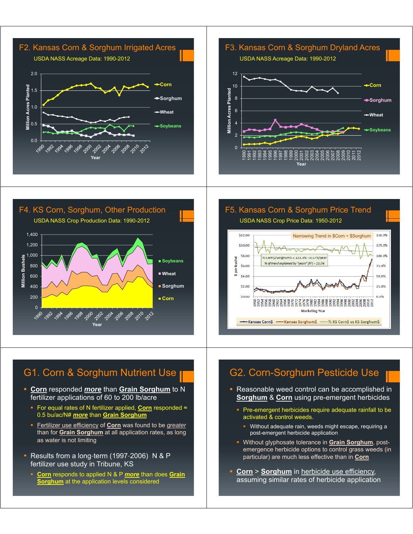







- **Corn** responded *more* than **Grain Sorghum** to N fertilizer applications of 60 to 200 lb/acre
	- For equal rates of N fertilizer applied, **Corn** responded ≈ 0.5 bu/ac/N# *more* than **Grain Sorghum**
	- Fertilizer use efficiency of **Corn** was found to be *greater* than for **Grain Sorghum** at all application rates, as long as water is not limiting
- Results from a long-term  $(1997-2006)$  N & P fertilizer use study in Tribune, KS
	- **Corn** responds to applied N & P *more* than does Grain **Sorghum** at the application levels considered

F5. Kansas Corn & Sorghum Price Trend USDA NASS Crop Price Data: 1950-2012



### G2. Corn-Sorghum Pesticide Use

- **Reasonable weed control can be accomplished in Sorghum** & **Corn** using pre-emergent herbicides
	- **Pre-emergent herbicides require adequate rainfall to be** activated  $\&$  control weeds.
		- **Without adequate rain, weeds might escape, requiring a** post-emergent herbicide application
	- Without glyphosate tolerance in **Grain Sorghum**, postemergence herbicide options to control grass weeds (in particular) are much less effective than in **Corn**
- **Corn** > **Sorghum** in herbicide use efficiency, assuming similar rates of herbicide application